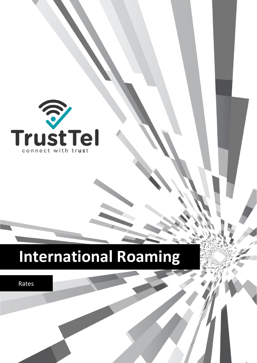

Rates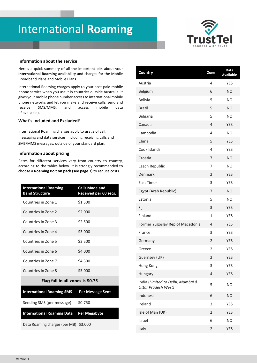

#### **Information about the service**

Here's a quick summary of all the important bits about your **International Roaming** availability and charges for the Mobile Broadband Plans and Mobile Plans.

International Roaming charges apply to your post-paid mobile phone service when you use it in countries outside Australia. It gives your mobile phone number access to international mobile phone networks and let you make and receive calls, send and receive SMS/MMS, and access mobile data (if available).

#### **What's Included and Excluded?**

International Roaming charges apply to usage of call, messaging and data services, including receiving calls and SMS/MMS messages, outside of your standard plan.

#### **Information about pricing**

Rates for different services vary from country to country, according to the tables below. It is strongly recommended to choose a **Roaming Bolt on pack (see page 3)** to reduce costs.

| <b>International Roaming</b><br><b>Band Structure</b> | <b>Calls Made and</b><br>Received per 60 secs. |  |  |
|-------------------------------------------------------|------------------------------------------------|--|--|
| Countries in Zone 1                                   | \$1.500                                        |  |  |
| Countries in Zone 2                                   | \$2.000                                        |  |  |
| Countries in Zone 3                                   | \$2.500                                        |  |  |
| Countries in Zone 4                                   | \$3.000                                        |  |  |
| Countries in Zone 5                                   | \$3.500                                        |  |  |
| Countries in Zone 6                                   | \$4.000                                        |  |  |
| Countries in Zone 7                                   | \$4.500                                        |  |  |
| Countries in Zone 8                                   | \$5,000                                        |  |  |
| Flag fall in all zones is \$0.75                      |                                                |  |  |
| <b>International Roaming SMS</b>                      | <b>Per Message Sent</b>                        |  |  |
| Sending SMS (per message)                             | \$0.750                                        |  |  |
| <b>International Roaming Data</b>                     | <b>Per Megabyte</b>                            |  |  |
| Data Roaming charges (per MB) \$3.000                 |                                                |  |  |

| Country                                                         | Zone                    | Data<br><b>Available</b> |
|-----------------------------------------------------------------|-------------------------|--------------------------|
| Austria                                                         | 4                       | <b>YES</b>               |
| Belgium                                                         | 6                       | <b>NO</b>                |
| <b>Bolivia</b>                                                  | 5                       | <b>NO</b>                |
| <b>Brazil</b>                                                   | 5                       | <b>NO</b>                |
| <b>Bulgaria</b>                                                 | 5                       | <b>NO</b>                |
| Canada                                                          | 4                       | <b>YES</b>               |
| Cambodia                                                        | 4                       | <b>NO</b>                |
| China                                                           | 5                       | <b>YES</b>               |
| Cook Islands                                                    | $\overline{4}$          | <b>YES</b>               |
| Croatia                                                         | 7                       | <b>NO</b>                |
| Czech Republic                                                  | $\overline{7}$          | <b>NO</b>                |
| Denmark                                                         | $\overline{2}$          | <b>YES</b>               |
| <b>East Timor</b>                                               | 3                       | <b>YES</b>               |
| Egypt (Arab Republic)                                           | 7                       | <b>NO</b>                |
| Estonia                                                         | 5                       | <b>NO</b>                |
| Fiji                                                            | 3                       | <b>YES</b>               |
| Finland                                                         | $\mathbf{1}$            | <b>YES</b>               |
| Former Yugoslav Rep of Macedonia                                | 4                       | <b>YES</b>               |
| France                                                          | 3                       | <b>YES</b>               |
| Germany                                                         | $\overline{2}$          | <b>YES</b>               |
| Greece                                                          | $\overline{2}$          | <b>YES</b>               |
| Guernsey (UK)                                                   | $\overline{\mathbf{c}}$ | <b>YES</b>               |
| Hong Kong                                                       | 3                       | <b>YES</b>               |
| Hungary                                                         | $\overline{4}$          | <b>YES</b>               |
| India (Limited to Delhi, Mumbai &<br><b>Uttar Pradesh West)</b> | 5                       | N <sub>O</sub>           |
| Indonesia                                                       | 6                       | <b>NO</b>                |
| Ireland                                                         | 3                       | <b>YES</b>               |
| Isle of Man (UK)                                                | 2                       | <b>YES</b>               |
| Israel                                                          | 6                       | NO                       |
| Italy                                                           | 2                       | <b>YES</b>               |
|                                                                 |                         |                          |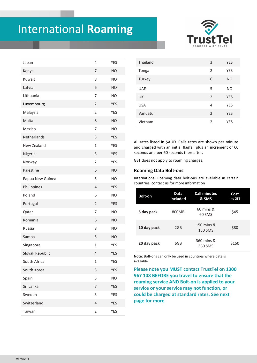

| Japan            | 4              | <b>YES</b> |
|------------------|----------------|------------|
| Kenya            | 7              | <b>NO</b>  |
| Kuwait           | 8              | <b>NO</b>  |
| Latvia           | 6              | <b>NO</b>  |
| Lithuania        | 7              | <b>NO</b>  |
| Luxembourg       | $\overline{2}$ | <b>YES</b> |
| Malaysia         | $\overline{2}$ | <b>YES</b> |
| Malta            | 8              | <b>NO</b>  |
| Mexico           | 7              | <b>NO</b>  |
| Netherlands      | 3              | <b>YES</b> |
| New Zealand      | $\mathbf{1}$   | <b>YES</b> |
| Nigeria          | 3              | <b>YES</b> |
| Norway           | $\overline{2}$ | <b>YES</b> |
| Palestine        | 6              | <b>NO</b>  |
| Papua New Guinea | 5              | <b>NO</b>  |
| Philippines      | $\overline{4}$ | <b>YES</b> |
| Poland           | 6              | <b>NO</b>  |
| Portugal         | $\overline{2}$ | <b>YES</b> |
| Qatar            | 7              | <b>NO</b>  |
| Romania          | 6              | <b>NO</b>  |
| Russia           | 8              | <b>NO</b>  |
| Samoa            | 5              | <b>NO</b>  |
| Singapore        | $\mathbf 1$    | <b>YES</b> |
| Slovak Republic  | 4              | <b>YES</b> |
| South Africa     | $\mathbf{1}$   | <b>YES</b> |
| South Korea      | 3              | <b>YES</b> |
| Spain            | 5              | <b>NO</b>  |
| Sri Lanka        | 7              | <b>YES</b> |
| Sweden           | 3              | <b>YES</b> |
| Switzerland      | 4              | <b>YES</b> |
| Taiwan           | $\overline{2}$ | <b>YES</b> |

| Thailand   | 3              | <b>YES</b> |
|------------|----------------|------------|
| Tonga      | $\overline{2}$ | <b>YES</b> |
| Turkey     | 6              | <b>NO</b>  |
| <b>UAE</b> | 5              | <b>NO</b>  |
| UK         | 2              | <b>YES</b> |
| <b>USA</b> | 4              | <b>YES</b> |
| Vanuatu    | 2              | <b>YES</b> |
| Vietnam    | $\overline{2}$ | <b>YES</b> |

All rates listed in \$AUD. Calls rates are shown per minute and charged with an initial flagfall plus an increment of 60 seconds and per 60 seconds thereafter.

GST does not apply to roaming charges.

#### **Roaming Data Bolt-ons**

International Roaming data bolt-ons are available in certain countries, contact us for more information

| <b>Bolt-on</b> | Data<br>included | <b>Call minutes</b><br>& SMS              | Cost<br>inc GST |
|----------------|------------------|-------------------------------------------|-----------------|
| 5 day pack     | 800MB            | $60 \text{ mins}$ &<br>60 SMS             | \$45            |
| 10 day pack    | 2GB              | $150 \text{ mins}$ $\&$<br><b>150 SMS</b> | \$80            |
| 20 day pack    | 6GB              | 360 mins &<br>360 SMS                     | \$150           |

**Note:** Bolt-ons can only be used in countries where data is available.

**Please note you MUST contact TrustTel on 1300 967 108 BEFORE you travel to ensure that the roaming service AND Bolt-on is applied to your service or your service may not function, or could be charged at standard rates. See next page for more**